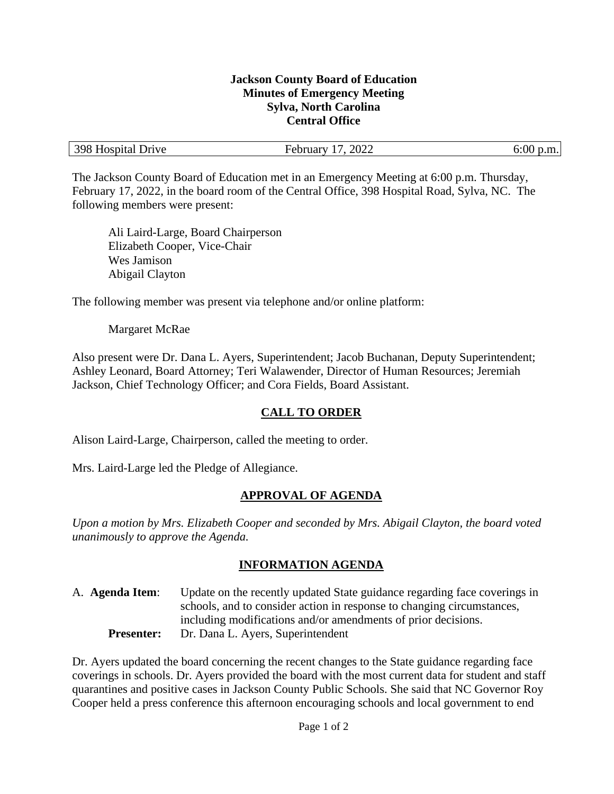#### **Jackson County Board of Education Minutes of Emergency Meeting Sylva, North Carolina Central Office**

| 398 Hospital Drive<br>2022<br>$\Omega$<br>Februarv |  |
|----------------------------------------------------|--|
|----------------------------------------------------|--|

The Jackson County Board of Education met in an Emergency Meeting at 6:00 p.m. Thursday, February 17, 2022, in the board room of the Central Office, 398 Hospital Road, Sylva, NC. The following members were present:

Ali Laird-Large, Board Chairperson Elizabeth Cooper, Vice-Chair Wes Jamison Abigail Clayton

The following member was present via telephone and/or online platform:

Margaret McRae

Also present were Dr. Dana L. Ayers, Superintendent; Jacob Buchanan, Deputy Superintendent; Ashley Leonard, Board Attorney; Teri Walawender, Director of Human Resources; Jeremiah Jackson, Chief Technology Officer; and Cora Fields, Board Assistant.

### **CALL TO ORDER**

Alison Laird-Large, Chairperson, called the meeting to order.

Mrs. Laird-Large led the Pledge of Allegiance.

### **APPROVAL OF AGENDA**

*Upon a motion by Mrs. Elizabeth Cooper and seconded by Mrs. Abigail Clayton, the board voted unanimously to approve the Agenda.*

### **INFORMATION AGENDA**

A. **Agenda Item**: Update on the recently updated State guidance regarding face coverings in schools, and to consider action in response to changing circumstances, including modifications and/or amendments of prior decisions. **Presenter:** Dr. Dana L. Ayers, Superintendent

Dr. Ayers updated the board concerning the recent changes to the State guidance regarding face coverings in schools. Dr. Ayers provided the board with the most current data for student and staff quarantines and positive cases in Jackson County Public Schools. She said that NC Governor Roy Cooper held a press conference this afternoon encouraging schools and local government to end